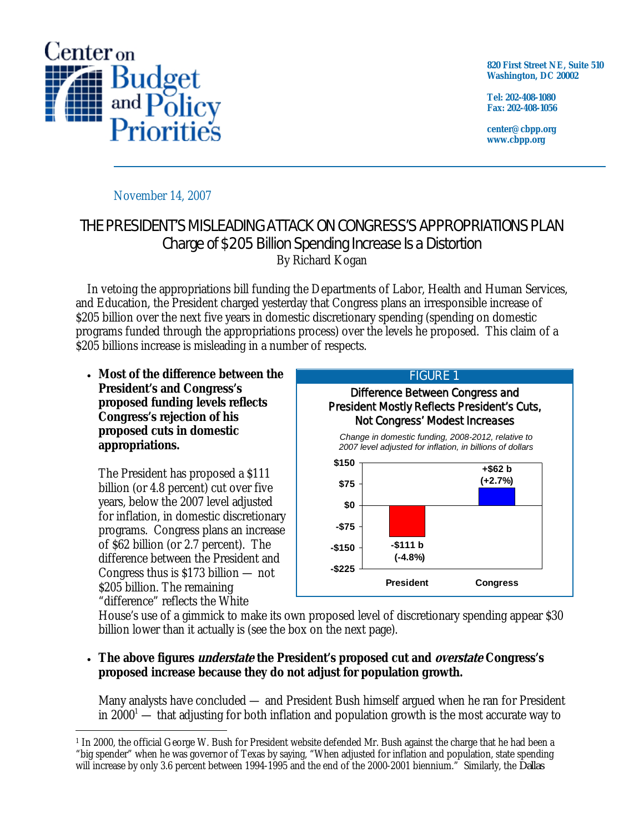

**820 First Street NE, Suite 510 Washington, DC 20002** 

**Tel: 202-408-1080 Fax: 202-408-1056** 

**center@cbpp.org www.cbpp.org** 

### November 14, 2007

# THE PRESIDENT'S MISLEADING ATTACK ON CONGRESS'S APPROPRIATIONS PLAN Charge of \$205 Billion Spending Increase Is a Distortion By Richard Kogan

 In vetoing the appropriations bill funding the Departments of Labor, Health and Human Services, and Education, the President charged yesterday that Congress plans an irresponsible increase of \$205 billion over the next five years in domestic discretionary spending (spending on domestic programs funded through the appropriations process) over the levels he proposed. This claim of a \$205 billions increase is misleading in a number of respects.

• **Most of the difference between the President's and Congress's proposed funding levels reflects Congress's rejection of his proposed cuts in domestic appropriations.** 

The President has proposed a \$111 billion (or 4.8 percent) cut over five years, below the 2007 level adjusted for inflation, in domestic discretionary programs. Congress plans an increase of \$62 billion (or 2.7 percent). The difference between the President and Congress thus is \$173 billion — not \$205 billion. The remaining "difference" reflects the White

 $\overline{a}$ 



House's use of a gimmick to make its own proposed level of discretionary spending appear \$30 billion lower than it actually is (see the box on the next page).

## • **The above figures understate the President's proposed cut and overstate Congress's proposed increase because they do not adjust for population growth.**

Many analysts have concluded — and President Bush himself argued when he ran for President in 2000<sup>1</sup> — that adjusting for both inflation and population growth is the most accurate way to

<sup>&</sup>lt;sup>1</sup> In 2000, the official George W. Bush for President website defended Mr. Bush against the charge that he had been a "big spender" when he was governor of Texas by saying, "When adjusted for inflation and population, state spending will increase by only 3.6 percent between 1994-1995 and the end of the 2000-2001 biennium." Similarly, the *Dallas*